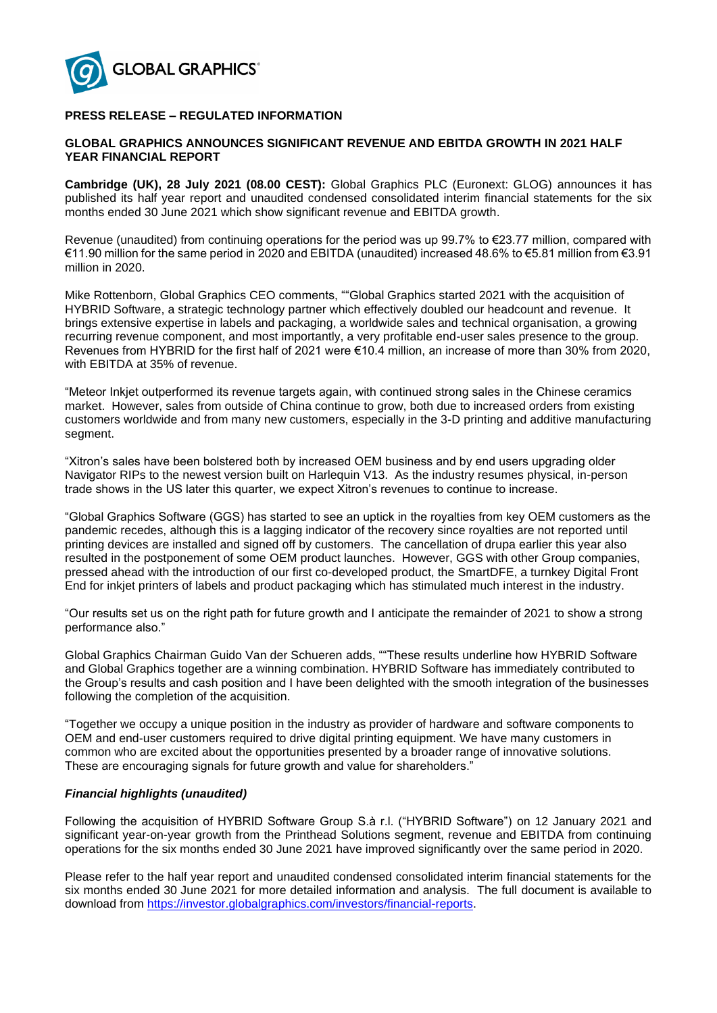

# **PRESS RELEASE – REGULATED INFORMATION**

# **GLOBAL GRAPHICS ANNOUNCES SIGNIFICANT REVENUE AND EBITDA GROWTH IN 2021 HALF YEAR FINANCIAL REPORT**

**Cambridge (UK), 28 July 2021 (08.00 CEST):** Global Graphics PLC (Euronext: GLOG) announces it has published its half year report and unaudited condensed consolidated interim financial statements for the six months ended 30 June 2021 which show significant revenue and EBITDA growth.

Revenue (unaudited) from continuing operations for the period was up 99.7% to €23.77 million, compared with €11.90 million for the same period in 2020 and EBITDA (unaudited) increased 48.6% to €5.81 million from €3.91 million in 2020.

Mike Rottenborn, Global Graphics CEO comments, ""Global Graphics started 2021 with the acquisition of HYBRID Software, a strategic technology partner which effectively doubled our headcount and revenue. It brings extensive expertise in labels and packaging, a worldwide sales and technical organisation, a growing recurring revenue component, and most importantly, a very profitable end-user sales presence to the group. Revenues from HYBRID for the first half of 2021 were €10.4 million, an increase of more than 30% from 2020, with EBITDA at 35% of revenue.

"Meteor Inkjet outperformed its revenue targets again, with continued strong sales in the Chinese ceramics market. However, sales from outside of China continue to grow, both due to increased orders from existing customers worldwide and from many new customers, especially in the 3-D printing and additive manufacturing segment.

"Xitron's sales have been bolstered both by increased OEM business and by end users upgrading older Navigator RIPs to the newest version built on Harlequin V13. As the industry resumes physical, in-person trade shows in the US later this quarter, we expect Xitron's revenues to continue to increase.

"Global Graphics Software (GGS) has started to see an uptick in the royalties from key OEM customers as the pandemic recedes, although this is a lagging indicator of the recovery since royalties are not reported until printing devices are installed and signed off by customers. The cancellation of drupa earlier this year also resulted in the postponement of some OEM product launches. However, GGS with other Group companies, pressed ahead with the introduction of our first co-developed product, the SmartDFE, a turnkey Digital Front End for inkjet printers of labels and product packaging which has stimulated much interest in the industry.

"Our results set us on the right path for future growth and I anticipate the remainder of 2021 to show a strong performance also."

Global Graphics Chairman Guido Van der Schueren adds, ""These results underline how HYBRID Software and Global Graphics together are a winning combination. HYBRID Software has immediately contributed to the Group's results and cash position and I have been delighted with the smooth integration of the businesses following the completion of the acquisition.

"Together we occupy a unique position in the industry as provider of hardware and software components to OEM and end-user customers required to drive digital printing equipment. We have many customers in common who are excited about the opportunities presented by a broader range of innovative solutions. These are encouraging signals for future growth and value for shareholders."

### *Financial highlights (unaudited)*

Following the acquisition of HYBRID Software Group S.à r.l. ("HYBRID Software") on 12 January 2021 and significant year-on-year growth from the Printhead Solutions segment, revenue and EBITDA from continuing operations for the six months ended 30 June 2021 have improved significantly over the same period in 2020.

Please refer to the half year report and unaudited condensed consolidated interim financial statements for the six months ended 30 June 2021 for more detailed information and analysis. The full document is available to download from [https://investor.globalgraphics.com/investors/financial-reports.](https://investor.globalgraphics.com/investors/financial-reports)